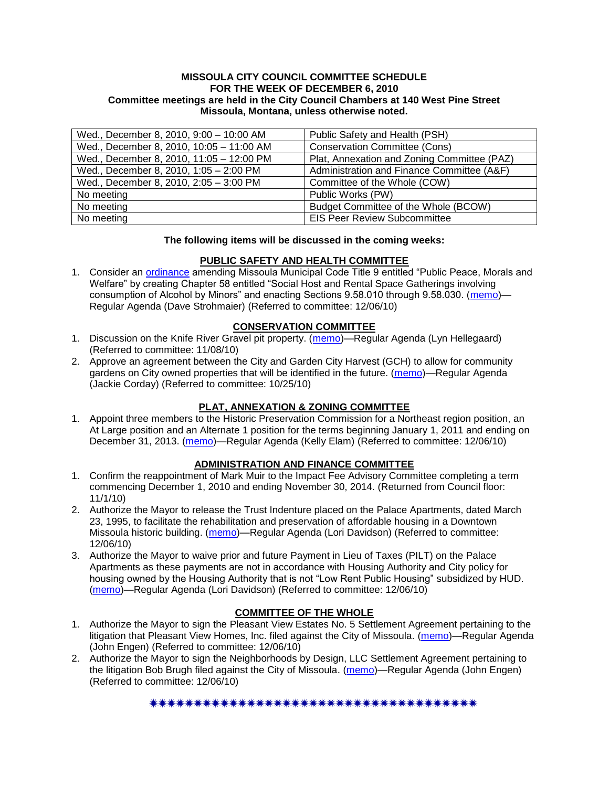#### **MISSOULA CITY COUNCIL COMMITTEE SCHEDULE FOR THE WEEK OF DECEMBER 6, 2010 Committee meetings are held in the City Council Chambers at 140 West Pine Street Missoula, Montana, unless otherwise noted.**

| Wed., December 8, 2010, 9:00 - 10:00 AM  | Public Safety and Health (PSH)              |
|------------------------------------------|---------------------------------------------|
| Wed., December 8, 2010, 10:05 - 11:00 AM | <b>Conservation Committee (Cons)</b>        |
| Wed., December 8, 2010, 11:05 - 12:00 PM | Plat, Annexation and Zoning Committee (PAZ) |
| Wed., December 8, 2010, 1:05 - 2:00 PM   | Administration and Finance Committee (A&F)  |
| Wed., December 8, 2010, 2:05 - 3:00 PM   | Committee of the Whole (COW)                |
| No meeting                               | Public Works (PW)                           |
| No meeting                               | Budget Committee of the Whole (BCOW)        |
| No meeting                               | <b>EIS Peer Review Subcommittee</b>         |

### **The following items will be discussed in the coming weeks:**

### **PUBLIC SAFETY AND HEALTH COMMITTEE**

1. Consider an [ordinance](http://www.ci.missoula.mt.us/DocumentView.aspx?DID=5133) amending Missoula Municipal Code Title 9 entitled "Public Peace, Morals and Welfare" by creating Chapter 58 entitled "Social Host and Rental Space Gatherings involving consumption of Alcohol by Minors" and enacting Sections 9.58.010 through 9.58.030. [\(memo\)](http://www.ci.missoula.mt.us/DocumentView.aspx?DID=5149)— Regular Agenda (Dave Strohmaier) (Referred to committee: 12/06/10)

### **CONSERVATION COMMITTEE**

- 1. Discussion on the Knife River Gravel pit property. [\(memo\)](http://www.ci.missoula.mt.us/DocumentView.aspx?DID=4914)—Regular Agenda (Lyn Hellegaard) (Referred to committee: 11/08/10)
- 2. Approve an agreement between the City and Garden City Harvest (GCH) to allow for community gardens on City owned properties that will be identified in the future. [\(memo\)](http://www.ci.missoula.mt.us/DocumentView.aspx?DID=4847)—Regular Agenda (Jackie Corday) (Referred to committee: 10/25/10)

# **PLAT, ANNEXATION & ZONING COMMITTEE**

1. Appoint three members to the Historic Preservation Commission for a Northeast region position, an At Large position and an Alternate 1 position for the terms beginning January 1, 2011 and ending on December 31, 2013. [\(memo\)](http://www.ci.missoula.mt.us/DocumentView.aspx?DID=5145)—Regular Agenda (Kelly Elam) (Referred to committee: 12/06/10)

## **ADMINISTRATION AND FINANCE COMMITTEE**

- 1. Confirm the reappointment of Mark Muir to the Impact Fee Advisory Committee completing a term commencing December 1, 2010 and ending November 30, 2014. (Returned from Council floor: 11/1/10)
- 2. Authorize the Mayor to release the Trust Indenture placed on the Palace Apartments, dated March 23, 1995, to facilitate the rehabilitation and preservation of affordable housing in a Downtown Missoula historic building. [\(memo\)](http://www.ci.missoula.mt.us/DocumentView.aspx?DID=5154)—Regular Agenda (Lori Davidson) (Referred to committee: 12/06/10)
- 3. Authorize the Mayor to waive prior and future Payment in Lieu of Taxes (PILT) on the Palace Apartments as these payments are not in accordance with Housing Authority and City policy for housing owned by the Housing Authority that is not "Low Rent Public Housing" subsidized by HUD. [\(memo\)](http://www.ci.missoula.mt.us/DocumentView.aspx?DID=5153)—Regular Agenda (Lori Davidson) (Referred to committee: 12/06/10)

# **COMMITTEE OF THE WHOLE**

- 1. Authorize the Mayor to sign the Pleasant View Estates No. 5 Settlement Agreement pertaining to the litigation that Pleasant View Homes, Inc. filed against the City of Missoula. [\(memo\)](http://www.ci.missoula.mt.us/DocumentView.aspx?DID=5148)—Regular Agenda (John Engen) (Referred to committee: 12/06/10)
- 2. Authorize the Mayor to sign the Neighborhoods by Design, LLC Settlement Agreement pertaining to the litigation Bob Brugh filed against the City of Missoula. [\(memo\)](http://www.ci.missoula.mt.us/DocumentView.aspx?DID=5147)—Regular Agenda (John Engen) (Referred to committee: 12/06/10)

#### \*\*\*\*\*\*\*\*\*\*\*\*\*\*\*\*\*\*\*\*\*\*\*\*\*\*\*\*\*\*\*\*\*\*\*\*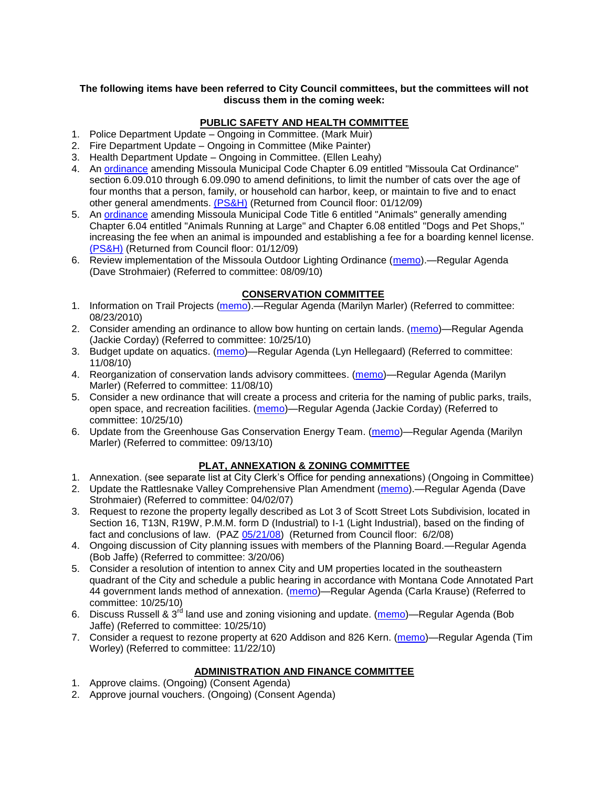### **The following items have been referred to City Council committees, but the committees will not discuss them in the coming week:**

## **PUBLIC SAFETY AND HEALTH COMMITTEE**

- 1. Police Department Update Ongoing in Committee. (Mark Muir)
- 2. Fire Department Update Ongoing in Committee (Mike Painter)
- 3. Health Department Update Ongoing in Committee. (Ellen Leahy)
- 4. An [ordinance](ftp://ftp.ci.missoula.mt.us/Packets/Council/2008/2008-12-15/2008CatOrdinanceAmendment%5B1%5D.pdf) amending Missoula Municipal Code Chapter 6.09 entitled "Missoula Cat Ordinance" section 6.09.010 through 6.09.090 to amend definitions, to limit the number of cats over the age of four months that a person, family, or household can harbor, keep, or maintain to five and to enact other general amendments. [\(PS&H\)](ftp://ftp.ci.missoula.mt.us/Packets/Council/2008/2008-12-15/081210psh.pdf) (Returned from Council floor: 01/12/09)
- 5. An [ordinance](ftp://ftp.ci.missoula.mt.us/Packets/Council/2008/2008-12-15/DogOrdinance--PSHrevisions.pdf) amending Missoula Municipal Code Title 6 entitled "Animals" generally amending Chapter 6.04 entitled "Animals Running at Large" and Chapter 6.08 entitled "Dogs and Pet Shops," increasing the fee when an animal is impounded and establishing a fee for a boarding kennel license. [\(PS&H\)](ftp://ftp.ci.missoula.mt.us/Packets/Council/2008/2008-12-15/081210psh.pdf) (Returned from Council floor: 01/12/09)
- 6. Review implementation of the Missoula Outdoor Lighting Ordinance [\(memo\)](http://www.ci.missoula.mt.us/DocumentView.aspx?DID=4420).—Regular Agenda (Dave Strohmaier) (Referred to committee: 08/09/10)

# **CONSERVATION COMMITTEE**

- 1. Information on Trail Projects [\(memo\)](http://www.ci.missoula.mt.us/DocumentView.aspx?DID=4477).—Regular Agenda (Marilyn Marler) (Referred to committee: 08/23/2010)
- 2. Consider amending an ordinance to allow bow hunting on certain lands. [\(memo\)](http://www.ci.missoula.mt.us/DocumentView.aspx?DID=4846)—Regular Agenda (Jackie Corday) (Referred to committee: 10/25/10)
- 3. Budget update on aquatics. [\(memo\)](http://www.ci.missoula.mt.us/DocumentView.aspx?DID=4917)—Regular Agenda (Lyn Hellegaard) (Referred to committee: 11/08/10)
- 4. Reorganization of conservation lands advisory committees. [\(memo\)](http://www.ci.missoula.mt.us/DocumentView.aspx?DID=4957)—Regular Agenda (Marilyn Marler) (Referred to committee: 11/08/10)
- 5. Consider a new ordinance that will create a process and criteria for the naming of public parks, trails, open space, and recreation facilities. [\(memo\)](http://www.ci.missoula.mt.us/DocumentView.aspx?DID=4848)—Regular Agenda (Jackie Corday) (Referred to committee: 10/25/10)
- 6. Update from the Greenhouse Gas Conservation Energy Team. [\(memo\)](http://www.ci.missoula.mt.us/DocumentView.aspx?DID=4556)—Regular Agenda (Marilyn Marler) (Referred to committee: 09/13/10)

# **PLAT, ANNEXATION & ZONING COMMITTEE**

- 1. Annexation. (see separate list at City Clerk's Office for pending annexations) (Ongoing in Committee)
- 2. Update the Rattlesnake Valley Comprehensive Plan Amendment [\(memo\)](ftp://ftp.ci.missoula.mt.us/Packets/Council/2007/2007-04-02/Referrals/Rattlesnake_Plan_Update_referral.pdf).—Regular Agenda (Dave Strohmaier) (Referred to committee: 04/02/07)
- 3. Request to rezone the property legally described as Lot 3 of Scott Street Lots Subdivision, located in Section 16, T13N, R19W, P.M.M. form D (Industrial) to I-1 (Light Industrial), based on the finding of fact and conclusions of law. (PAZ [05/21/08\)](ftp://ftp.ci.missoula.mt.us/Packets/Council/2008/2008-06-02/080521paz.pdf) (Returned from Council floor: 6/2/08)
- 4. Ongoing discussion of City planning issues with members of the Planning Board.—Regular Agenda (Bob Jaffe) (Referred to committee: 3/20/06)
- 5. Consider a resolution of intention to annex City and UM properties located in the southeastern quadrant of the City and schedule a public hearing in accordance with Montana Code Annotated Part 44 government lands method of annexation. [\(memo\)](http://www.ci.missoula.mt.us/DocumentView.aspx?DID=4845)—Regular Agenda (Carla Krause) (Referred to committee: 10/25/10)
- 6. Discuss Russell & 3rd land use and zoning visioning and update. [\(memo\)](http://www.ci.missoula.mt.us/DocumentView.aspx?DID=4864)—Regular Agenda (Bob Jaffe) (Referred to committee: 10/25/10)
- 7. Consider a request to rezone property at 620 Addison and 826 Kern. [\(memo\)](http://www.ci.missoula.mt.us/DocumentView.aspx?DID=5088)—Regular Agenda (Tim Worley) (Referred to committee: 11/22/10)

# **ADMINISTRATION AND FINANCE COMMITTEE**

- 1. Approve claims. (Ongoing) (Consent Agenda)
- 2. Approve journal vouchers. (Ongoing) (Consent Agenda)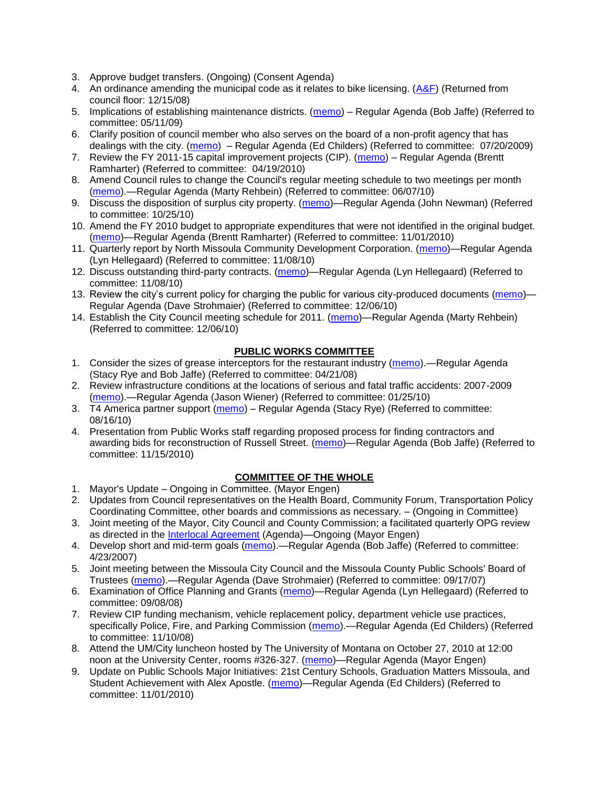- 3. Approve budget transfers. (Ongoing) (Consent Agenda)
- 4. An ordinance amending the municipal code as it relates to bike licensing.  $(A\&F)$  (Returned from council floor: 12/15/08)
- 5. Implications of establishing maintenance districts. [\(memo\)](ftp://ftp.ci.missoula.mt.us/Packets/Council/2009/2009-05-11/Referrals/MaintenanceDistricts.pdf) Regular Agenda (Bob Jaffe) (Referred to committee: 05/11/09)
- 6. Clarify position of council member who also serves on the board of a non-profit agency that has dealings with the city. [\(memo\)](http://www.ci.missoula.mt.us/DocumentView.aspx?DID=1840) – Regular Agenda (Ed Childers) (Referred to committee: 07/20/2009)
- 7. Review the FY 2011-15 capital improvement projects (CIP). [\(memo\)](http://www.ci.missoula.mt.us/DocumentView.aspx?DID=3522) Regular Agenda (Brentt Ramharter) (Referred to committee: 04/19/2010)
- 8. Amend Council rules to change the Council's regular meeting schedule to two meetings per month [\(memo\)](http://www.ci.missoula.mt.us/DocumentView.aspx?DID=4027).—Regular Agenda (Marty Rehbein) (Referred to committee: 06/07/10)
- 9. Discuss the disposition of surplus city property. [\(memo\)](http://www.ci.missoula.mt.us/DocumentView.aspx?DID=4862)—Regular Agenda (John Newman) (Referred to committee: 10/25/10)
- 10. Amend the FY 2010 budget to appropriate expenditures that were not identified in the original budget. [\(memo\)](http://www.ci.missoula.mt.us/DocumentView.aspx?DID=4883)—Regular Agenda (Brentt Ramharter) (Referred to committee: 11/01/2010)
- 11. Quarterly report by North Missoula Community Development Corporation. [\(memo\)](http://www.ci.missoula.mt.us/DocumentView.aspx?DID=4915)—Regular Agenda (Lyn Hellegaard) (Referred to committee: 11/08/10)
- 12. Discuss outstanding third-party contracts. [\(memo\)](http://www.ci.missoula.mt.us/DocumentView.aspx?DID=4956)—Regular Agenda (Lyn Hellegaard) (Referred to committee: 11/08/10)
- 13. Review the city's current policy for charging the public for various city-produced documents [\(memo\)](http://www.ci.missoula.mt.us/DocumentView.aspx?DID=5143)-Regular Agenda (Dave Strohmaier) (Referred to committee: 12/06/10)
- 14. Establish the City Council meeting schedule for 2011. [\(memo\)](http://www.ci.missoula.mt.us/DocumentView.aspx?DID=5144)—Regular Agenda (Marty Rehbein) (Referred to committee: 12/06/10)

### **PUBLIC WORKS COMMITTEE**

- 1. Consider the sizes of grease interceptors for the restaurant industry [\(memo\)](ftp://ftp.ci.missoula.mt.us/Packets/Council/2008/2008-04-21/Referrals/Industrial_waste_restaurants.pdf).—Regular Agenda (Stacy Rye and Bob Jaffe) (Referred to committee: 04/21/08)
- 2. Review infrastructure conditions at the locations of serious and fatal traffic accidents: 2007-2009 [\(memo\)](http://www.ci.missoula.mt.us/DocumentView.aspx?DID=3031).—Regular Agenda (Jason Wiener) (Referred to committee: 01/25/10)
- 3. T4 America partner support [\(memo\)](http://www.ci.missoula.mt.us/DocumentView.aspx?DID=4452) Regular Agenda (Stacy Rye) (Referred to committee: 08/16/10)
- 4. Presentation from Public Works staff regarding proposed process for finding contractors and awarding bids for reconstruction of Russell Street. [\(memo\)](http://www.ci.missoula.mt.us/DocumentView.aspx?DID=5042)—Regular Agenda (Bob Jaffe) (Referred to committee: 11/15/2010)

## **COMMITTEE OF THE WHOLE**

- 1. Mayor's Update Ongoing in Committee. (Mayor Engen)
- 2. Updates from Council representatives on the Health Board, Community Forum, Transportation Policy Coordinating Committee, other boards and commissions as necessary. – (Ongoing in Committee)
- 3. Joint meeting of the Mayor, City Council and County Commission; a facilitated quarterly OPG review as directed in the [Interlocal Agreement](ftp://ftp.ci.missoula.mt.us/Documents/Mayor/OPG/Adopted-ILA-2005.pdf) (Agenda)—Ongoing (Mayor Engen)
- 4. Develop short and mid-term goals [\(memo\)](ftp://ftp.ci.missoula.mt.us/Packets/Council/2007/2007-04-23/Referrals/Council_Goals.pdf).—Regular Agenda (Bob Jaffe) (Referred to committee: 4/23/2007)
- 5. Joint meeting between the Missoula City Council and the Missoula County Public Schools' Board of Trustees [\(memo\)](ftp://ftp.ci.missoula.mt.us/Packets/Council/2007/2007-09-17/Referrals/Council_School_Board_referral.pdf).—Regular Agenda (Dave Strohmaier) (Referred to committee: 09/17/07)
- 6. Examination of Office Planning and Grants [\(memo\)](ftp://ftp.ci.missoula.mt.us/Packets/Council/2008/2008-09-08/Referrals/080825HendricksonOPGreferral.pdf)—Regular Agenda (Lyn Hellegaard) (Referred to committee: 09/08/08)
- 7. Review CIP funding mechanism, vehicle replacement policy, department vehicle use practices, specifically Police, Fire, and Parking Commission [\(memo\)](ftp://ftp.ci.missoula.mt.us/Packets/Council/2008/2008-11-10/Referrals/ReviewBudgetary.pdf).—Regular Agenda (Ed Childers) (Referred to committee: 11/10/08)
- 8. Attend the UM/City luncheon hosted by The University of Montana on October 27, 2010 at 12:00 noon at the University Center, rooms #326-327. [\(memo\)](http://www.ci.missoula.mt.us/DocumentView.aspx?DID=4706)—Regular Agenda (Mayor Engen)
- 9. Update on Public Schools Major Initiatives: 21st Century Schools, Graduation Matters Missoula, and Student Achievement with Alex Apostle. [\(memo\)](http://www.ci.missoula.mt.us/DocumentView.aspx?DID=4902)—Regular Agenda (Ed Childers) (Referred to committee: 11/01/2010)